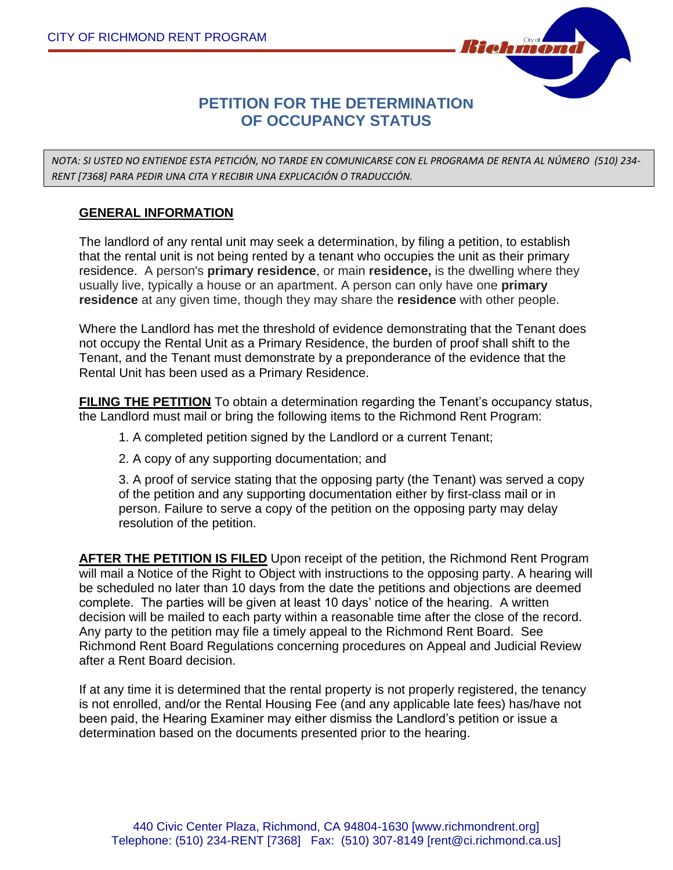

# **PETITION FOR THE DETERMINATION OF OCCUPANCY STATUS**

*NOTA: SI USTED NO ENTIENDE ESTA PETICIÓN, NO TARDE EN COMUNICARSE CON EL PROGRAMA DE RENTA AL NÚMERO (510) 234- RENT [7368] PARA PEDIR UNA CITA Y RECIBIR UNA EXPLICACIÓN O TRADUCCIÓN.*

#### **GENERAL INFORMATION**

The landlord of any rental unit may seek a determination, by filing a petition, to establish that the rental unit is not being rented by a tenant who occupies the unit as their primary residence. A person's **primary residence**, or main **residence,** is the dwelling where they usually live, typically a house or an apartment. A person can only have one **primary residence** at any given time, though they may share the **residence** with other people.

Where the Landlord has met the threshold of evidence demonstrating that the Tenant does not occupy the Rental Unit as a Primary Residence, the burden of proof shall shift to the Tenant, and the Tenant must demonstrate by a preponderance of the evidence that the Rental Unit has been used as a Primary Residence.

**FILING THE PETITION** To obtain a determination regarding the Tenant's occupancy status, the Landlord must mail or bring the following items to the Richmond Rent Program:

1. A completed petition signed by the Landlord or a current Tenant;

2. A copy of any supporting documentation; and

3. A proof of service stating that the opposing party (the Tenant) was served a copy of the petition and any supporting documentation either by first-class mail or in person. Failure to serve a copy of the petition on the opposing party may delay resolution of the petition.

**AFTER THE PETITION IS FILED** Upon receipt of the petition, the Richmond Rent Program will mail a Notice of the Right to Object with instructions to the opposing party. A hearing will be scheduled no later than 10 days from the date the petitions and objections are deemed complete. The parties will be given at least 10 days' notice of the hearing. A written decision will be mailed to each party within a reasonable time after the close of the record. Any party to the petition may file a timely appeal to the Richmond Rent Board. See Richmond Rent Board Regulations concerning procedures on Appeal and Judicial Review after a Rent Board decision.

If at any time it is determined that the rental property is not properly registered, the tenancy is not enrolled, and/or the Rental Housing Fee (and any applicable late fees) has/have not been paid, the Hearing Examiner may either dismiss the Landlord's petition or issue a determination based on the documents presented prior to the hearing.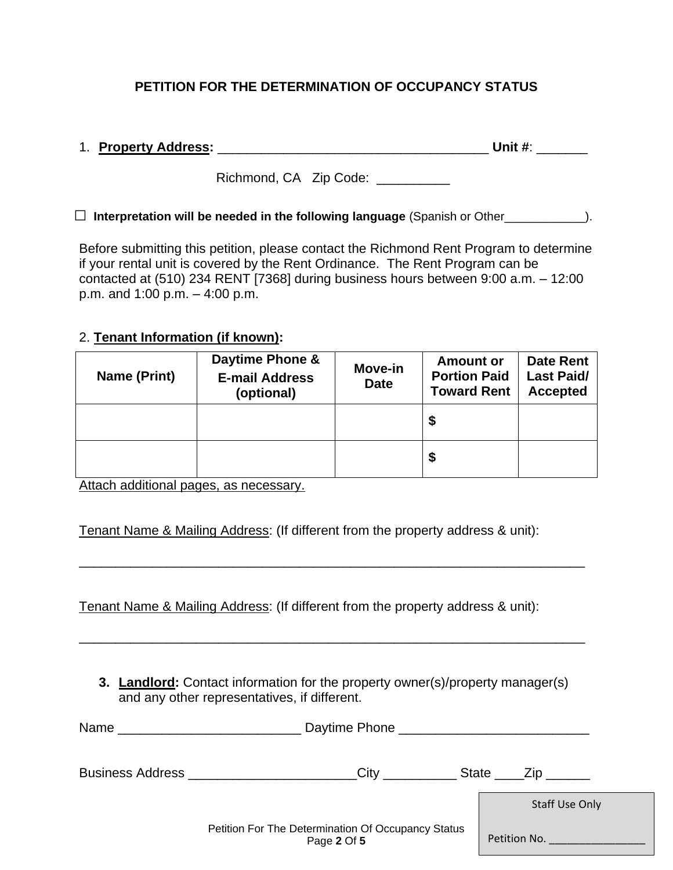## **PETITION FOR THE DETERMINATION OF OCCUPANCY STATUS**

## 1. **Property Address:** \_\_\_\_\_\_\_\_\_\_\_\_\_\_\_\_\_\_\_\_\_\_\_\_\_\_\_\_\_\_\_\_\_\_\_\_\_ **Unit #**: \_\_\_\_\_\_\_

Richmond, CA Zip Code: \_\_\_\_\_\_\_\_\_

#### □ **Interpretation will be needed in the following language** (Spanish or Other\_\_\_\_\_\_\_\_\_\_\_\_).

Before submitting this petition, please contact the Richmond Rent Program to determine if your rental unit is covered by the Rent Ordinance. The Rent Program can be contacted at (510) 234 RENT [7368] during business hours between 9:00 a.m. – 12:00 p.m. and 1:00 p.m. – 4:00 p.m.

#### 2. **Tenant Information (if known):**

| Name (Print) | Daytime Phone &<br><b>E-mail Address</b><br>(optional) | Move-in<br><b>Date</b> | <b>Amount or</b><br><b>Portion Paid</b><br><b>Toward Rent</b> | <b>Date Rent</b><br><b>Last Paid/</b><br><b>Accepted</b> |
|--------------|--------------------------------------------------------|------------------------|---------------------------------------------------------------|----------------------------------------------------------|
|              |                                                        |                        | S                                                             |                                                          |
|              |                                                        |                        | \$                                                            |                                                          |

Attach additional pages, as necessary.

Tenant Name & Mailing Address: (If different from the property address & unit):

\_\_\_\_\_\_\_\_\_\_\_\_\_\_\_\_\_\_\_\_\_\_\_\_\_\_\_\_\_\_\_\_\_\_\_\_\_\_\_\_\_\_\_\_\_\_\_\_\_\_\_\_\_\_\_\_\_\_\_\_\_\_\_\_\_\_\_\_\_

Tenant Name & Mailing Address: (If different from the property address & unit):

**3. Landlord:** Contact information for the property owner(s)/property manager(s) and any other representatives, if different.

\_\_\_\_\_\_\_\_\_\_\_\_\_\_\_\_\_\_\_\_\_\_\_\_\_\_\_\_\_\_\_\_\_\_\_\_\_\_\_\_\_\_\_\_\_\_\_\_\_\_\_\_\_\_\_\_\_\_\_\_\_\_\_\_\_\_\_\_\_

| Name                                     |                                                                   |                            |
|------------------------------------------|-------------------------------------------------------------------|----------------------------|
| Business Address <b>Contains Address</b> |                                                                   | State $\_\_$ $\_\_$ $\_\_$ |
|                                          |                                                                   | <b>Staff Use Only</b>      |
|                                          | Petition For The Determination Of Occupancy Status<br>Page 2 Of 5 | Petition No.               |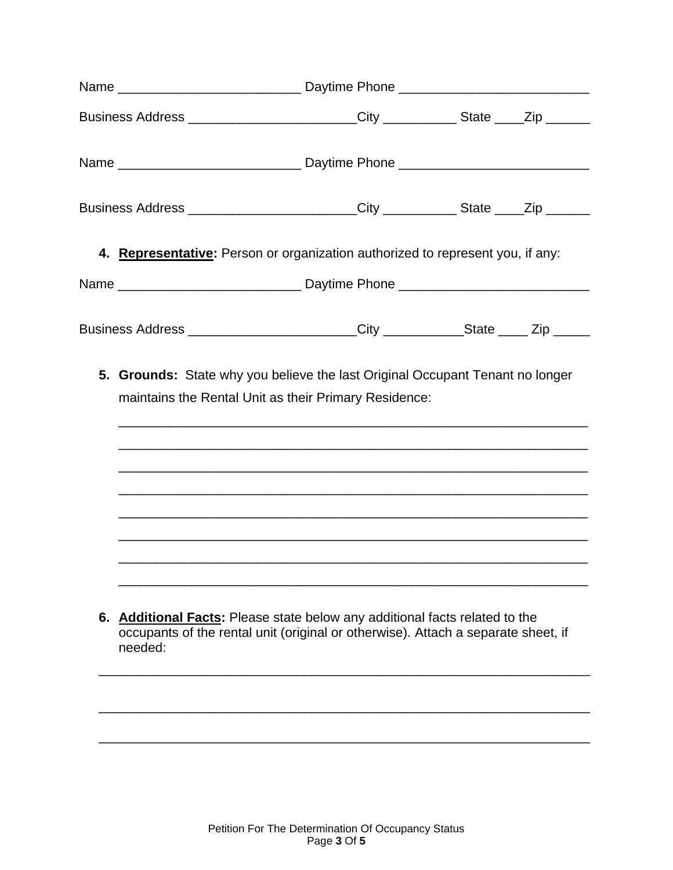| Business Address ________________________City ____________State ____Zip _______        |                                                                                                                                                                                                                                                                                                             |  |
|----------------------------------------------------------------------------------------|-------------------------------------------------------------------------------------------------------------------------------------------------------------------------------------------------------------------------------------------------------------------------------------------------------------|--|
|                                                                                        |                                                                                                                                                                                                                                                                                                             |  |
| Business Address _________________________City ____________State _____Zip ______       |                                                                                                                                                                                                                                                                                                             |  |
| 4. Representative: Person or organization authorized to represent you, if any:         |                                                                                                                                                                                                                                                                                                             |  |
|                                                                                        |                                                                                                                                                                                                                                                                                                             |  |
| Business Address _________________________City _____________State _____ Zip _____      |                                                                                                                                                                                                                                                                                                             |  |
| 5. Grounds: State why you believe the last Original Occupant Tenant no longer          | maintains the Rental Unit as their Primary Residence:<br><u> 1980 - Johann Stoff, amerikansk politiker (d. 1980)</u><br><u> 1989 - Johann Harry Harry Harry Harry Harry Harry Harry Harry Harry Harry Harry Harry Harry Harry Harry Harry</u><br><u> 1989 - Johann Stoff, amerikansk politiker (* 1908)</u> |  |
| 6. Additional Facts: Please state below any additional facts related to the<br>needed: | occupants of the rental unit (original or otherwise). Attach a separate sheet, if                                                                                                                                                                                                                           |  |
|                                                                                        |                                                                                                                                                                                                                                                                                                             |  |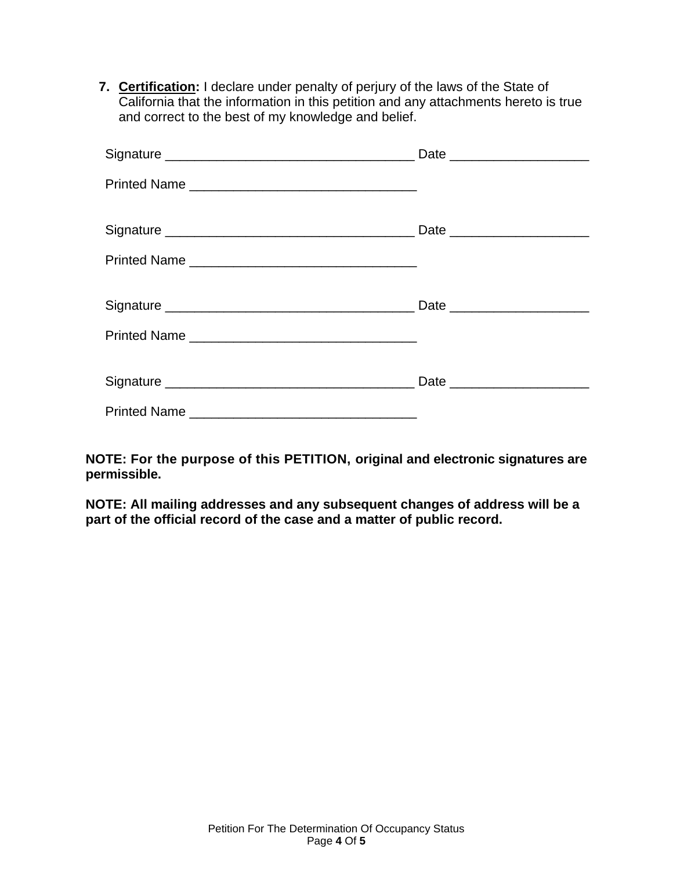**7. Certification:** I declare under penalty of perjury of the laws of the State of California that the information in this petition and any attachments hereto is true and correct to the best of my knowledge and belief.

**NOTE: For the purpose of this PETITION, original and electronic signatures are permissible.**

**NOTE: All mailing addresses and any subsequent changes of address will be a part of the official record of the case and a matter of public record.**